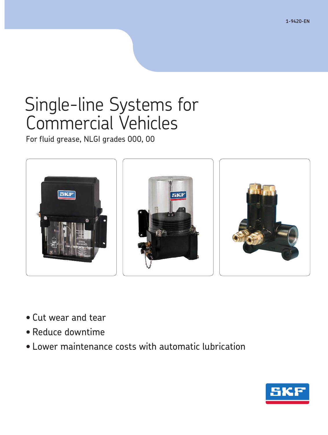**1-9420-EN**

# Single-line Systems for Commercial Vehicles

For fluid grease, NLGI grades 000, 00



- Cut wear and tear
- Reduce downtime
- Lower maintenance costs with automatic lubrication

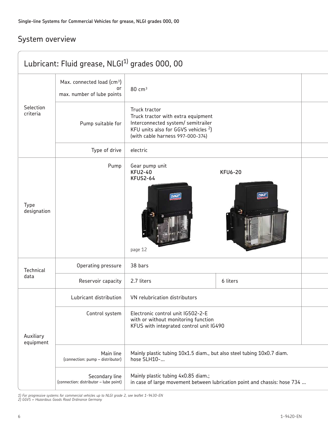### System overview

| Lubricant: Fluid grease, NLGI <sup>1)</sup> grades 000, 00 |                                                                            |                                                                                                                                                                         |                                                                           |
|------------------------------------------------------------|----------------------------------------------------------------------------|-------------------------------------------------------------------------------------------------------------------------------------------------------------------------|---------------------------------------------------------------------------|
| Selection<br>criteria                                      | Max. connected load (cm <sup>3</sup> )<br>or<br>max. number of lube points | 80 cm <sup>3</sup>                                                                                                                                                      |                                                                           |
|                                                            | Pump suitable for                                                          | Truck tractor<br>Truck tractor with extra equipment<br>Interconnected system/ semitrailer<br>KFU units also for GGVS vehicles $2$ )<br>(with cable harness 997-000-374) |                                                                           |
|                                                            | Type of drive                                                              | electric                                                                                                                                                                |                                                                           |
| Type<br>designation                                        | Pump                                                                       | Gear pump unit<br><b>KFU2-40</b><br><b>KFUS2-64</b><br><b>SKP</b><br>page 12                                                                                            | <b>KFU6-20</b><br>SKF                                                     |
| Technical<br>data                                          | Operating pressure                                                         | 38 bars                                                                                                                                                                 |                                                                           |
|                                                            | Reservoir capacity                                                         | 2.7 liters                                                                                                                                                              | 6 liters                                                                  |
| Auxiliary<br>equipment                                     | Lubricant distribution                                                     | VN relubrication distributors                                                                                                                                           |                                                                           |
|                                                            | Control system                                                             | Electronic control unit IG502-2-E<br>with or without monitoring function<br>KFUS with integrated control unit IG490                                                     |                                                                           |
|                                                            | Main line<br>(connection: pump - distributor)                              | Mainly plastic tubing 10x1.5 diam., but also steel tubing 10x0.7 diam.<br>hose SLH10-                                                                                   |                                                                           |
|                                                            | Secondary line<br>(connection: distributor - lube point)                   | Mainly plastic tubing 4x0.85 diam.;                                                                                                                                     | in case of large movement between lubrication point and chassis: hose 734 |

*1) For progressive systems for commercial vehicles up to NLGI grade 2, see leaflet 1-9430-EN 2) GGVS = Hazardous Goods Road Ordinance Germany*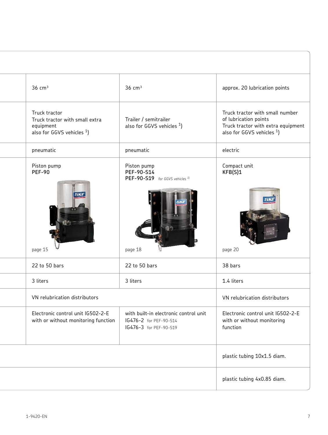| $36 \text{ cm}^3$                                                                            | $36 \text{ cm}^3$                                                                         | approx. 20 lubrication points                                                                                                  |
|----------------------------------------------------------------------------------------------|-------------------------------------------------------------------------------------------|--------------------------------------------------------------------------------------------------------------------------------|
| Truck tractor<br>Truck tractor with small extra<br>equipment<br>also for GGVS vehicles $1$ ) | Trailer / semitrailer<br>also for GGVS vehicles <sup>1</sup> )                            | Truck tractor with small number<br>of lubrication points<br>Truck tractor with extra equipment<br>also for GGVS vehicles $1$ ) |
| pneumatic                                                                                    | pneumatic                                                                                 | electric                                                                                                                       |
| Piston pump<br><b>PEF-90</b>                                                                 | Piston pump<br>PEF-90-S14<br>PEF-90-S19 for GGVS vehicles <sup>1)</sup>                   | Compact unit<br>KFB(S)1                                                                                                        |
| page 15                                                                                      | page 18                                                                                   | 5K.<br>page 20                                                                                                                 |
| 22 to 50 bars                                                                                | 22 to 50 bars                                                                             | 38 bars                                                                                                                        |
| 3 liters                                                                                     | 3 liters                                                                                  | 1.4 liters                                                                                                                     |
| VN relubrication distributors                                                                |                                                                                           | VN relubrication distributors                                                                                                  |
| Electronic control unit IG502-2-E<br>with or without monitoring function                     | with built-in electronic control unit<br>IG476-2 for PEF-90-S14<br>IG476-3 for PEF-90-S19 | Electronic control unit IG502-2-E<br>with or without monitoring<br>function                                                    |
|                                                                                              |                                                                                           | plastic tubing 10x1.5 diam.                                                                                                    |
|                                                                                              |                                                                                           | plastic tubing 4x0.85 diam.                                                                                                    |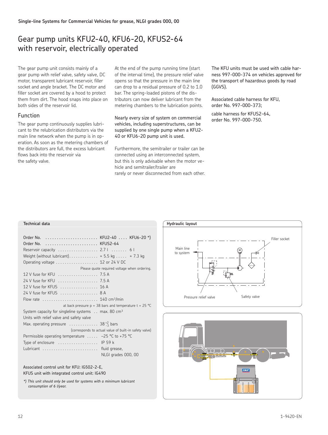### Gear pump units KFU2-40, KFU6-20, KFUS2-64 with reservoir, electrically operated

The gear pump unit consists mainly of a gear pump with relief valve, safety valve, DC motor, transparent lubricant reservoir, filler socket and angle bracket. The DC motor and filler socket are covered by a hood to protect them from dirt. The hood snaps into place on both sides of the reservoir lid

### Function

The gear pump continuously supplies lubricant to the relubrication distributors via the main line network when the pump is in operation. As soon as the metering chambers of the distributors are full, the excess lubricant flows back into the reservoir via the safety valve

At the end of the pump running time (start of the interval time), the pressure relief valve opens so that the pressure in the main line can drop to a residual pressure of 0.2 to 1.0 bar. The spring-loaded pistons of the distributors can now deliver lubricant from the metering chambers to the lubrication points

Nearly every size of system on commercial vehicles, including superstructures, can be supplied by one single pump when a KFU2- 40 or KFU6-20 pump unit is used.

Furthermore, the semitrailer or trailer can be connected using an interconnected system, but this is only advisable when the motor vehicle and semitrailer/trailer are rarely or never disconnected from each other. The KFU units must be used with cable harness 997-000-374 on vehicles approved for the transport of hazardous goods by road (GGVS).

Associated cable harness for KFU, order No. 997-000-373;

cable harness for KFUS2-64, order No. 997-000-750.

### **Technical data**

| Order No.  KFU2-40  KFU6-20 *)<br>Order No.  KFUS2-64<br>Reservoir capacity  2.71  61<br>Weight (without lubricant) $\approx$ 5.5 kg $\approx$ 7.3 kg<br>Operating voltage $\ldots \ldots \ldots \ldots \ldots$ 12 or 24 V DC |                                                          |
|-------------------------------------------------------------------------------------------------------------------------------------------------------------------------------------------------------------------------------|----------------------------------------------------------|
|                                                                                                                                                                                                                               | Please quote required voltage when ordering.             |
| 12 V fuse for KFU  7.5 A                                                                                                                                                                                                      |                                                          |
| 24 V fuse for KFU  7.5 A                                                                                                                                                                                                      |                                                          |
| 12 V fuse for KFUS  16 A                                                                                                                                                                                                      |                                                          |
| 24 V fuse for KFUS  8 A                                                                                                                                                                                                       |                                                          |
| Flow rate $\ldots \ldots \ldots \ldots \ldots \ldots \ldots 140$ cm <sup>3</sup> /min                                                                                                                                         |                                                          |
|                                                                                                                                                                                                                               | at back pressure $p = 38$ bars and temperature t = 25 °C |
| System capacity for singleline systems $\ldots$ max. 80 cm <sup>3</sup>                                                                                                                                                       |                                                          |
| Units with relief valve and safety valve                                                                                                                                                                                      |                                                          |
| Max. operating pressure $\ldots \ldots \ldots \ldots 38_{-3}^{+2}$ bars                                                                                                                                                       |                                                          |
|                                                                                                                                                                                                                               | (corresponds to actual value of built-in safety valve)   |
| Permissible operating temperature $\ldots$ -25 °C to +75 °C                                                                                                                                                                   |                                                          |
| Type of enclosure $\dots\dots\dots\dots\dots$ IP 59 k                                                                                                                                                                         |                                                          |
| Lubricant  fluid grease,                                                                                                                                                                                                      |                                                          |
|                                                                                                                                                                                                                               | NLGI grades 000, 00                                      |

Associated control unit for KFU: IG502-2-E, KFUS unit with integrated control unit: IG490

*\*) This unit should only be used for systems with a minimum lubricant consumption of 6 l/year.*



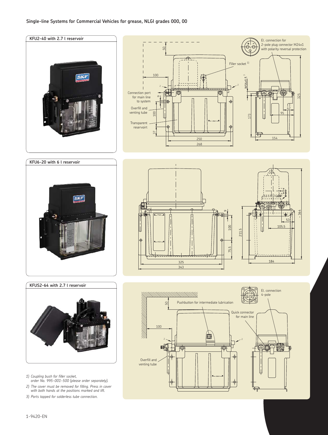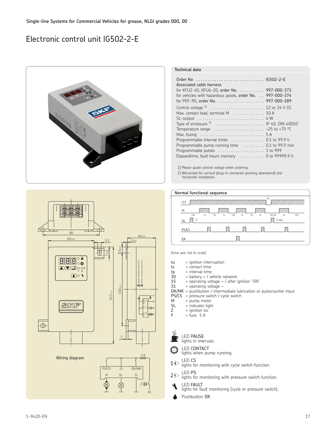## Electronic control unit IG502-2-E





| Order No  IG502-2-E                                                                |  |
|------------------------------------------------------------------------------------|--|
| Associated cable harness                                                           |  |
| for KFU2-40, KFU6-20, order No.  997-000-373                                       |  |
| for vehicles with hazardous goods, order No. 997-000-374                           |  |
|                                                                                    |  |
|                                                                                    |  |
| Max. contact load, terminal M  10 A                                                |  |
|                                                                                    |  |
| Type of enclosure $2^2$ IP 40, DIN 40050                                           |  |
| Temperature range $\ldots \ldots \ldots \ldots \ldots \ldots \ldots -25$ to +75 °C |  |
|                                                                                    |  |
| Programmable interval times  0.1 to 99.9 h                                         |  |
| Programmable pump running time  0.1 to 99.9 min                                    |  |
| Programmable pulses  1 to 999                                                      |  |
| Elapsedtime, fault hours memory $\dots\dots\dots\dots$ 0 to 99999.9 h              |  |

*1) Please quote control voltage when ordering.*

*2) Warranted for vertical (plug-in connector pointing downward) and horizontal installation.*





(time axis not to scale)

- $\begin{array}{rcl} \mathsf{t} \mathsf{u} & = \mathsf{ignition}\ \mathsf{t} \mathsf{t} & = \mathsf{contact}\ \mathsf{time} \end{array}$
- $=$  contact time
- tp = interval time<br>30 = battery + /  $v \in$
- $\begin{array}{rcl} 30 & = \text{battery} + / \text{ vehicle network} \\ 15 & = \text{operating voltage} + / \text{ after i} \end{array}$
- 15 = operating voltage + / after ignition "ON"<br>31 = operating voltage -
- $=$  operating voltage –
- DK/MK = pushbutton / intermediate lubrication or pulsecounter input
- $PS/CS$  = pressure switch / cycle switch<br>M = numn motor
- $M = pump motor$ <br> $SL = indicator light$
- $SL$  = indicator light<br> $Z$  = ignition loc
- $Z =$ ignition locker<br>F = fuse 5 A
- $=$  fuse 5 A

|  | I ED PAUSE |
|--|------------|
|  |            |

```
lights in intervals
```
LED CONTACT

lights when pump running.

- LED CS  $1\triangleright$ 
	- lights for monitoring with cycle switch function LED PS
- lights for monitoring with pressure switch function.  $2\tilde{Q}$ 
	- LED FAULT
	- LED 1110 L.
	- Pushbutton DK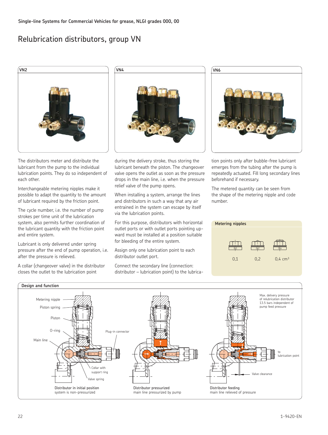## Relubrication distributors, group VN



The distributors meter and distribute the lubricant from the pump to the individual lubrication points. They do so independent of each other

Interchangeable metering nipples make it possible to adapt the quantity to the amount of lubricant required by the friction point

The cycle number, i.e. the number of pump strokes per time unit of the lubrication system, also permits further coordination of the lubricant quantity with the friction point and entire system

Lubricant is only delivered under spring pressure after the end of pump operation, i.e. after the pressure is relieved

A collar (changeover valve) in the distributor closes the outlet to the lubrication point



during the delivery stroke, thus storing the lubricant beneath the piston. The changeover valve opens the outlet as soon as the pressure drops in the main line, i.e. when the pressure relief valve of the pump opens

When installing a system, arrange the lines and distributors in such a way that any air entrained in the system can escape by itself via the lubrication points

For this purpose, distributors with horizontal outlet ports or with outlet ports pointing upward must be installed at a position suitable for bleeding of the entire system

Assign only one lubrication point to each distributor outlet port

Connect the secondary line (connection:  $distributor - lubrication point)$  to the lubrica-



tion points only after bubble-free lubricant emerges from the tubing after the pump is repeatedly actuated. Fill long secondary lines beforehand if necessary

The metered quantity can be seen from the shape of the metering nipple and code number

| <b>Metering nipples</b> |     |                      |
|-------------------------|-----|----------------------|
|                         |     |                      |
|                         |     |                      |
| 0,1                     | 0,2 | $0.4 \, \text{cm}^3$ |